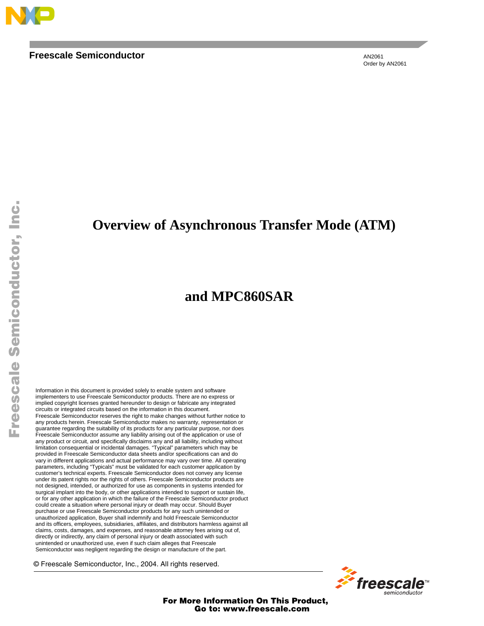

#### **Freescale Semiconductor**

AN2061 Order by AN2061

F

#### **Overview of Asynchronous Transfer Mode (ATM)**

#### **and MPC860SAR**

Information in this document is provided solely to enable system and software implementers to use Freescale Semiconductor products. There are no express or implied copyright licenses granted hereunder to design or fabricate any integrated circuits or integrated circuits based on the information in this document. Freescale Semiconductor reserves the right to make changes without further notice to any products herein. Freescale Semiconductor makes no warranty, representation or guarantee regarding the suitability of its products for any particular purpose, nor does Freescale Semiconductor assume any liability arising out of the application or use of any product or circuit, and specifically disclaims any and all liability, including without limitation consequential or incidental damages. "Typical" parameters which may be provided in Freescale Semiconductor data sheets and/or specifications can and do vary in different applications and actual performance may vary over time. All operating parameters, including "Typicals" must be validated for each customer application by customer's technical experts. Freescale Semiconductor does not convey any license under its patent rights nor the rights of others. Freescale Semiconductor products are not designed, intended, or authorized for use as components in systems intended for surgical implant into the body, or other applications intended to support or sustain life, or for any other application in which the failure of the Freescale Semiconductor product could create a situation where personal injury or death may occur. Should Buyer purchase or use Freescale Semiconductor products for any such unintended or unauthorized application, Buyer shall indemnify and hold Freescale Semiconductor and its officers, employees, subsidiaries, affiliates, and distributors harmless against all claims, costs, damages, and expenses, and reasonable attorney fees arising out of, directly or indirectly, any claim of personal injury or death associated with such unintended or unauthorized use, even if such claim alleges that Freescale Semiconductor was negligent regarding the design or manufacture of the part.

© Freescale Semiconductor, Inc., 2004. All rights reserved.

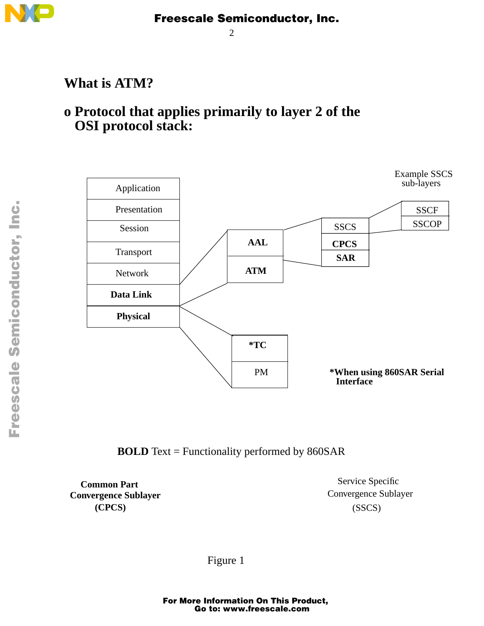

2

## **What is ATM?**

## **o Protocol that applies primarily to layer 2 of the OSI protocol stack:**



#### **BOLD** Text = Functionality performed by 860SAR

**Common Part Convergence Sublayer (CPCS)**

(SSCS) Service Specific Convergence Sublayer

Figure 1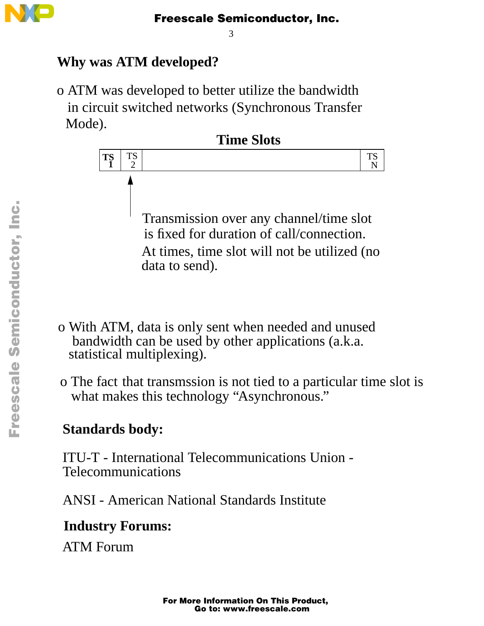

3

## **Why was ATM developed?**

o ATM was developed to better utilize the bandwidth in circuit switched networks (Synchronous Transfer Mode).



- o With ATM, data is only sent when needed and unused bandwidth can be used by other applications (a.k.a. statistical multiplexing).
- o The fact that transmssion is not tied to a particular time slot is what makes this technology "Asynchronous."

## **Standards body:**

ITU-T - International Telecommunications Union - Telecommunications

ANSI - American National Standards Institute

## **Industry Forums:**

ATM Forum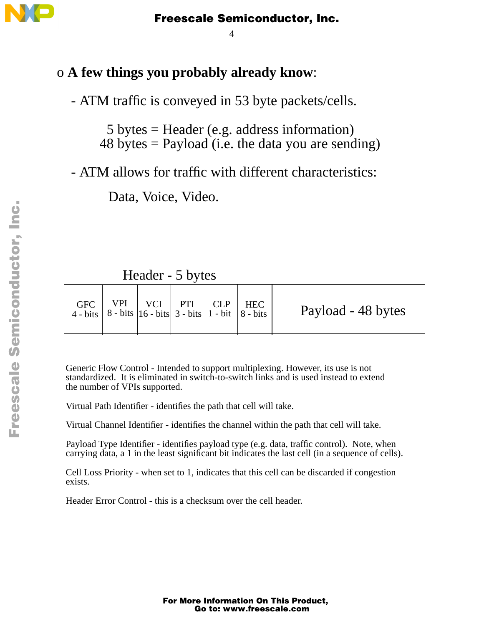

4

#### o **A few things you probably already know**:

- ATM traffic is conveyed in 53 byte packets/cells.

 5 bytes = Header (e.g. address information)  $48 \text{ bytes} = \text{Payload}$  (i.e. the data you are sending)

- ATM allows for traffic with different characteristics:

Data, Voice, Video.

Header - 5 bytes

| <b>GFC</b> | 4 - bits   8 - bits   16 - bits   3 - bits   1 - bit   8 - bits | $VPI$   $VCI$   $PTI$   $CLP$   $HEC$ |  |  |  | Payload - 48 bytes |
|------------|-----------------------------------------------------------------|---------------------------------------|--|--|--|--------------------|
|------------|-----------------------------------------------------------------|---------------------------------------|--|--|--|--------------------|

Generic Flow Control - Intended to support multiplexing. However, its use is not standardized. It is eliminated in switch-to-switch links and is used instead to extend the number of VPIs supported.

Virtual Path Identifier - identifies the path that cell will take.

Virtual Channel Identifier - identifies the channel within the path that cell will take.

Payload Type Identifier - identifies payload type (e.g. data, traffic control). Note, when carrying data, a 1 in the least significant bit indicates the last cell (in a sequence of cells).

Cell Loss Priority - when set to 1, indicates that this cell can be discarded if congestion exists.

Header Error Control - this is a checksum over the cell header.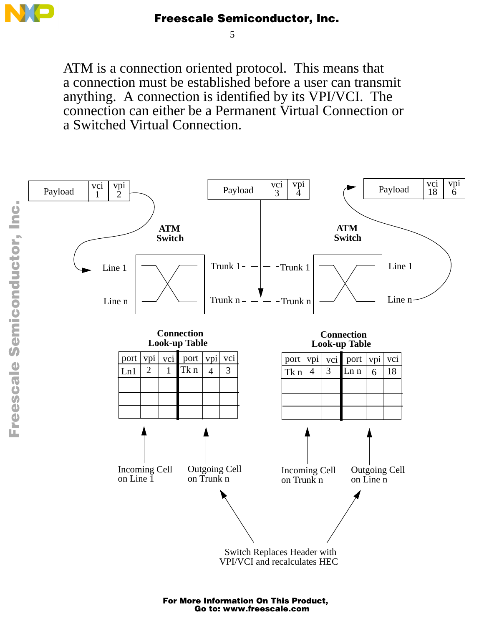

5

ATM is a connection oriented protocol. This means that a connection must be established before a user can transmit anything. A connection is identified by its VPI/VCI. The connection can either be a Permanent Virtual Connection or a Switched Virtual Connection.

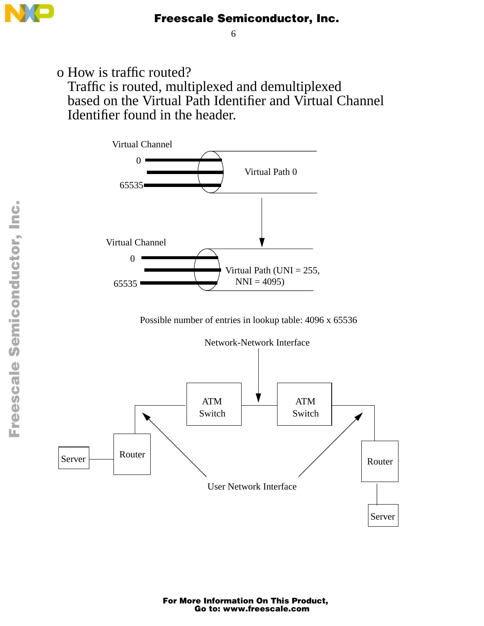

6

o How is traffic routed? Traffic is routed, multiplexed and demultiplexed based on the Virtual Path Identifier and Virtual Channel Identifier found in the header.



Possible number of entries in lookup table: 4096 x 65536

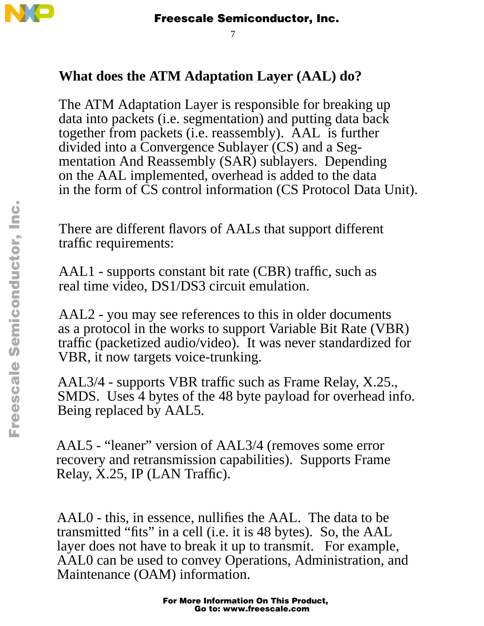

7

## **What does the ATM Adaptation Layer (AAL) do?**

The ATM Adaptation Layer is responsible for breaking up data into packets (i.e. segmentation) and putting data back together from packets (i.e. reassembly). AAL is further divided into a Convergence Sublayer (CS) and a Segmentation And Reassembly (SAR) sublayers. Depending on the AAL implemented, overhead is added to the data in the form of CS control information (CS Protocol Data Unit).

There are different flavors of AALs that support different traffic requirements:

AAL1 - supports constant bit rate (CBR) traffic, such as real time video, DS1/DS3 circuit emulation.

AAL2 - you may see references to this in older documents as a protocol in the works to support Variable Bit Rate (VBR) traffic (packetized audio/video). It was never standardized for VBR, it now targets voice-trunking.

AAL3/4 - supports VBR traffic such as Frame Relay, X.25., SMDS. Uses 4 bytes of the 48 byte payload for overhead info. Being replaced by AAL5.

AAL5 - "leaner" version of AAL3/4 (removes some error recovery and retransmission capabilities). Supports Frame Relay, X.25, IP (LAN Traffic).

AAL0 - this, in essence, nullifies the AAL. The data to be transmitted "fits" in a cell (i.e. it is 48 bytes). So, the AAL layer does not have to break it up to transmit. For example, AAL0 can be used to convey Operations, Administration, and Maintenance (OAM) information.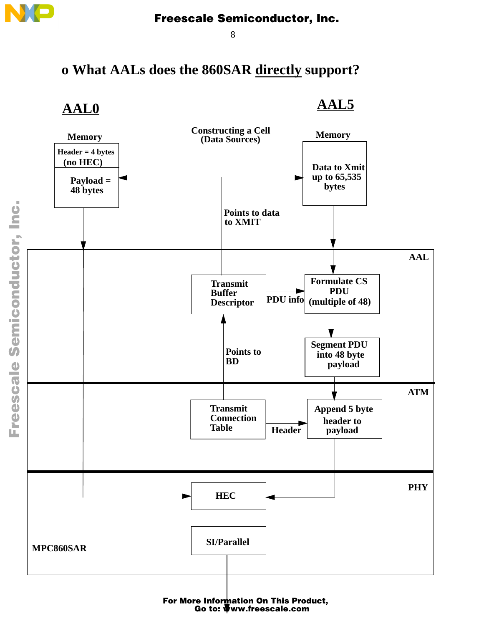

8

## **o What AALs does the 860SAR directly support?**

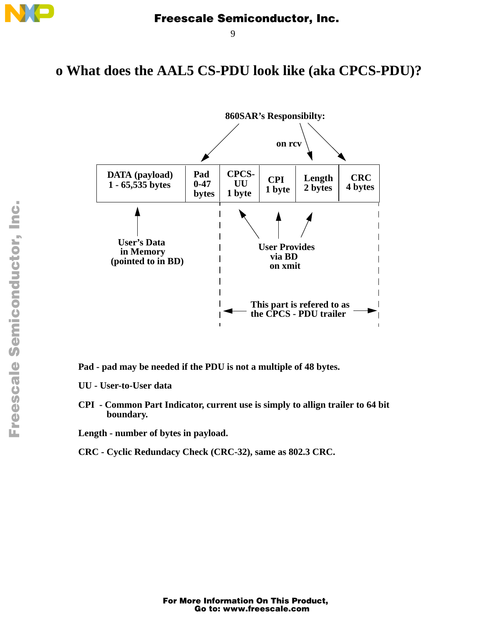

9

#### **o What does the AAL5 CS-PDU look like (aka CPCS-PDU)?**



**Pad - pad may be needed if the PDU is not a multiple of 48 bytes.**

- **UU User-to-User data**
- **CPI Common Part Indicator, current use is simply to allign trailer to 64 bit boundary.**

**Length - number of bytes in payload.**

**CRC - Cyclic Redundacy Check (CRC-32), same as 802.3 CRC.**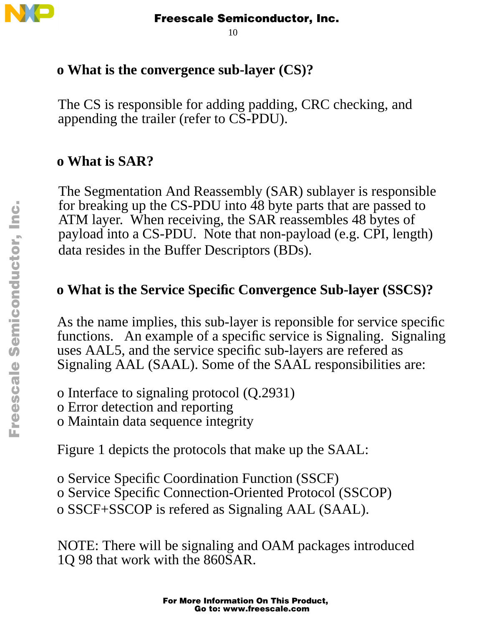

10

## **o What is the convergence sub-layer (CS)?**

The CS is responsible for adding padding, CRC checking, and appending the trailer (refer to CS-PDU).

## **o What is SAR?**

The Segmentation And Reassembly (SAR) sublayer is responsible for breaking up the CS-PDU into 48 byte parts that are passed to ATM layer. When receiving, the SAR reassembles 48 bytes of payload into a CS-PDU. Note that non-payload (e.g. CPI, length) data resides in the Buffer Descriptors (BDs).

## **o What is the Service Specific Convergence Sub-layer (SSCS)?**

As the name implies, this sub-layer is reponsible for service specific functions. An example of a specific service is Signaling. Signaling uses AAL5, and the service specific sub-layers are refered as Signaling AAL (SAAL). Some of the SAAL responsibilities are:

- o Interface to signaling protocol (Q.2931)
- o Error detection and reporting
- o Maintain data sequence integrity

Figure 1 depicts the protocols that make up the SAAL:

o Service Specific Coordination Function (SSCF)

- o Service Specific Connection-Oriented Protocol (SSCOP)
- o SSCF+SSCOP is refered as Signaling AAL (SAAL).

NOTE: There will be signaling and OAM packages introduced 1Q 98 that work with the 860SAR.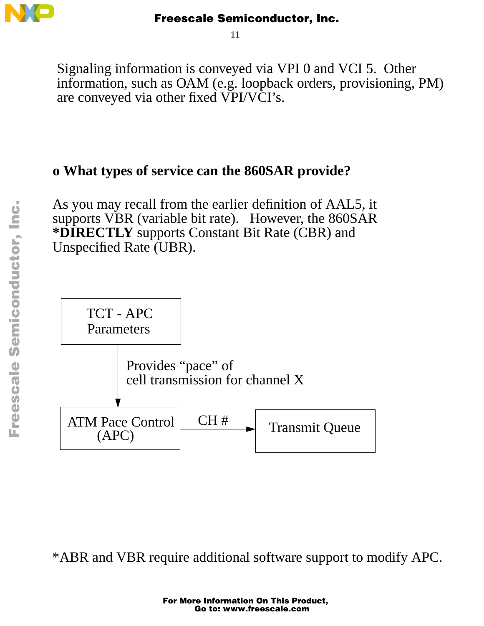

11

Signaling information is conveyed via VPI 0 and VCI 5. Other information, such as OAM (e.g. loopback orders, provisioning, PM) are conveyed via other fixed VPI/VCI's.

## **o What types of service can the 860SAR provide?**

As you may recall from the earlier definition of AAL5, it supports VBR (variable bit rate). However, the 860SAR **\*DIRECTLY** supports Constant Bit Rate (CBR) and Unspecified Rate (UBR).



\*ABR and VBR require additional software support to modify APC.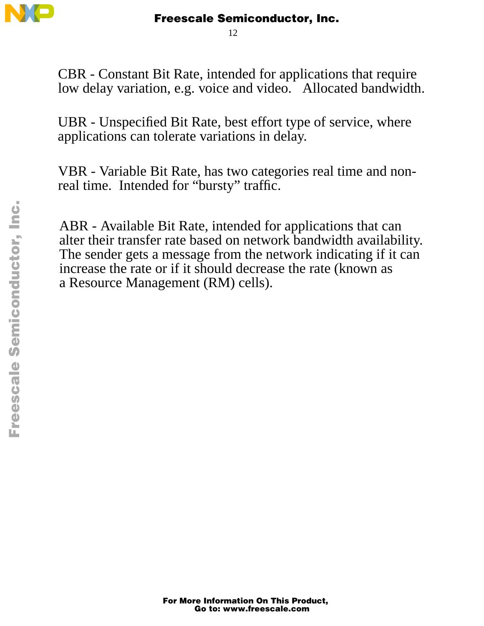

12

CBR - Constant Bit Rate, intended for applications that require low delay variation, e.g. voice and video. Allocated bandwidth.

UBR - Unspecified Bit Rate, best effort type of service, where applications can tolerate variations in delay.

VBR - Variable Bit Rate, has two categories real time and nonreal time. Intended for "bursty" traffic.

ABR - Available Bit Rate, intended for applications that can alter their transfer rate based on network bandwidth availability. The sender gets a message from the network indicating if it can increase the rate or if it should decrease the rate (known as a Resource Management (RM) cells).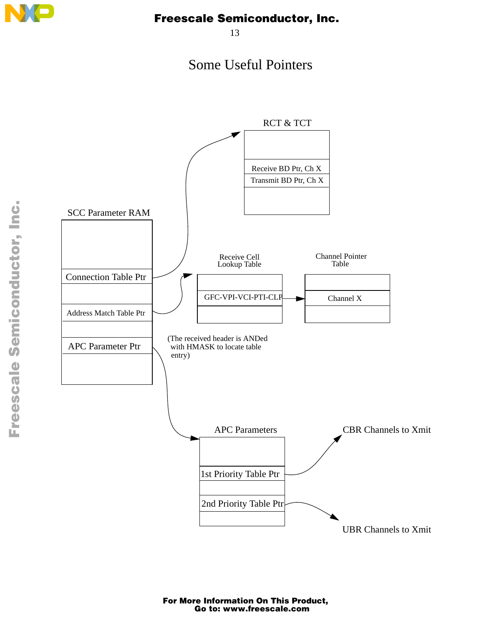

13

## Some Useful Pointers



 $\boldsymbol{g}$  $\bf \Phi$ 

mic

o n d u  $\mathbf 0$ t o

r, I

n

.<br>ق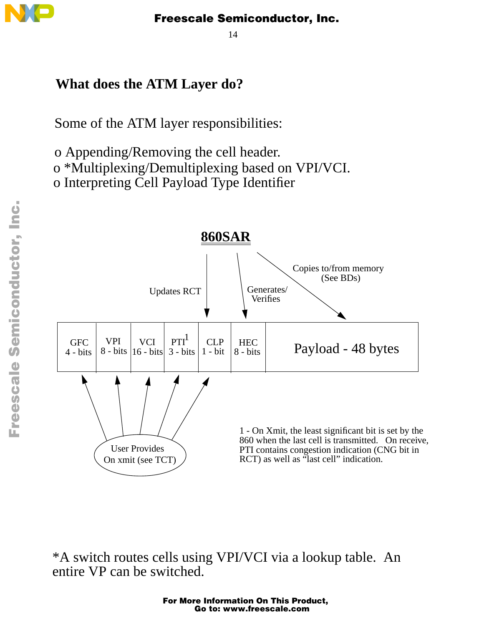

14

## **What does the ATM Layer do?**

Some of the ATM layer responsibilities:

o Appending/Removing the cell header.

o \*Multiplexing/Demultiplexing based on VPI/VCI.

o Interpreting Cell Payload Type Identifier



\*A switch routes cells using VPI/VCI via a lookup table. An entire VP can be switched.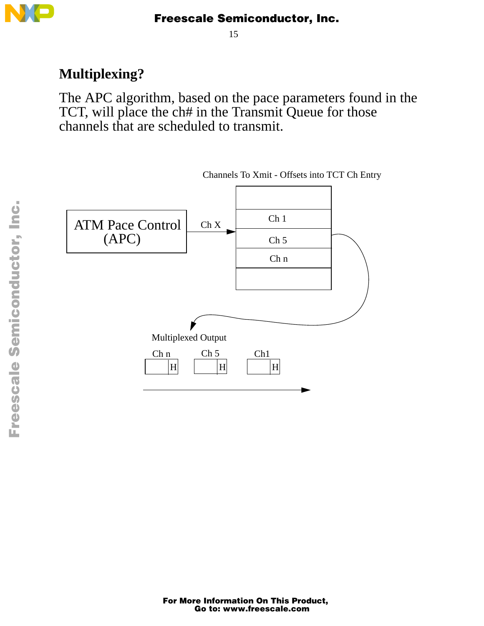

15

## **Multiplexing?**

The APC algorithm, based on the pace parameters found in the TCT, will place the ch# in the Transmit Queue for those channels that are scheduled to transmit.

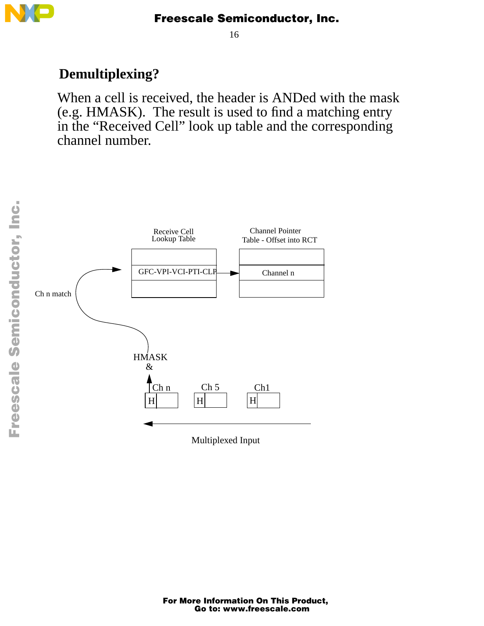

16

## **Demultiplexing?**

When a cell is received, the header is ANDed with the mask (e.g. HMASK). The result is used to find a matching entry in the "Received Cell" look up table and the corresponding channel number.

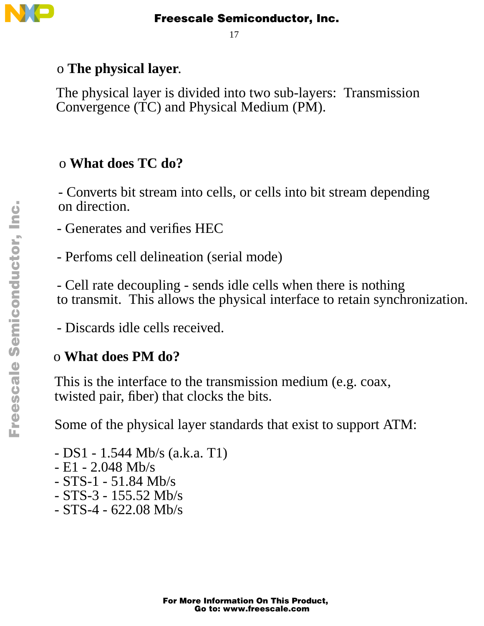

17

## o **The physical layer**.

The physical layer is divided into two sub-layers: Transmission Convergence (TC) and Physical Medium (PM).

## o **What does TC do?**

- Converts bit stream into cells, or cells into bit stream depending on direction.

- Generates and verifies HEC
- Perfoms cell delineation (serial mode)

- Cell rate decoupling - sends idle cells when there is nothing to transmit. This allows the physical interface to retain synchronization.

- Discards idle cells received.

## o **What does PM do?**

This is the interface to the transmission medium (e.g. coax, twisted pair, fiber) that clocks the bits.

Some of the physical layer standards that exist to support ATM:

- DS1 - 1.544 Mb/s (a.k.a. T1) - E1 - 2.048 Mb/s - STS-1 - 51.84 Mb/s - STS-3 - 155.52 Mb/s - STS-4 - 622.08 Mb/s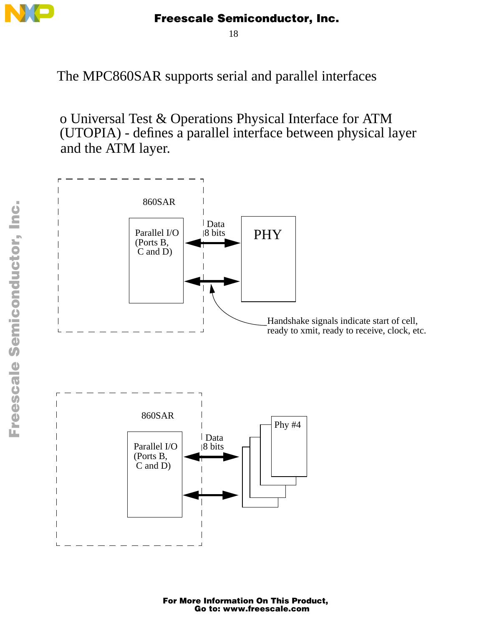

18

The MPC860SAR supports serial and parallel interfaces

o Universal Test & Operations Physical Interface for ATM (UTOPIA) - defines a parallel interface between physical layer and the ATM layer.